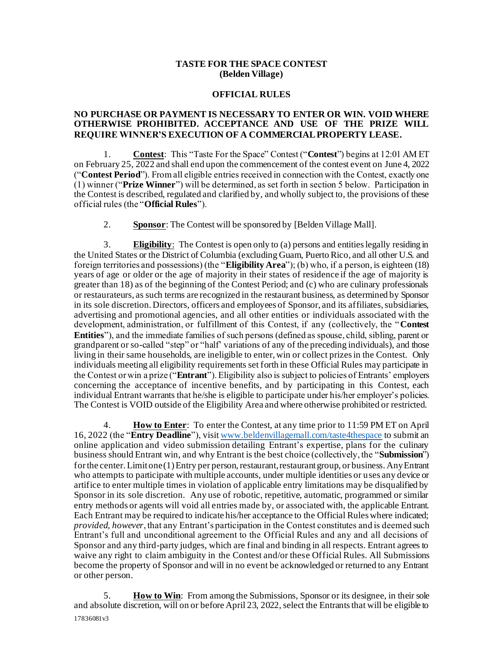## **TASTE FOR THE SPACE CONTEST (Belden Village)**

## **OFFICIAL RULES**

## **NO PURCHASE OR PAYMENT IS NECESSARY TO ENTER OR WIN. VOID WHERE OTHERWISE PROHIBITED. ACCEPTANCE AND USE OF THE PRIZE WILL REQUIRE WINNER'S EXECUTION OF A COMMERCIAL PROPERTY LEASE.**

1. **Contest**: This "Taste For the Space" Contest ("**Contest**") begins at 12:01 AM ET on February 25, 2022 and shall end upon the commencement of the contest event on June 4, 2022 ("**Contest Period**"). From all eligible entries received in connection with the Contest, exactly one (1) winner ("**Prize Winner**") will be determined, as set forth in section 5 below. Participation in the Contest is described, regulated and clarified by, and wholly subject to, the provisions of these official rules (the "**Official Rules**").

2. **Sponsor**: The Contest will be sponsored by [Belden Village Mall].

3. **Eligibility**: The Contest is open only to (a) persons and entities legally residing in the United States or the District of Columbia (excluding Guam, Puerto Rico, and all other U.S. and foreign territories and possessions) (the "**Eligibility Area**"); (b) who, if a person, is eighteen (18) years of age or older or the age of majority in their states of residence if the age of majority is greater than 18) as of the beginning of the Contest Period; and (c) who are culinary professionals or restaurateurs, as such terms are recognized in the restaurant business, as determined by Sponsor in its sole discretion. Directors, officers and employees of Sponsor, and its affiliates, subsidiaries, advertising and promotional agencies, and all other entities or individuals associated with the development, administration, or fulfillment of this Contest, if any (collectively, the "**Contest Entities**"), and the immediate families of such persons (defined as spouse, child, sibling, parent or grandparent or so-called "step" or "half' variations of any of the preceding individuals), and those living in their same households, are ineligible to enter, win or collect prizes in the Contest. Only individuals meeting all eligibility requirements set forth in these Official Rules may participate in the Contest or win a prize ("**Entrant**"). Eligibility also is subject to policies of Entrants' employers concerning the acceptance of incentive benefits, and by participating in this Contest, each individual Entrant warrants that he/she is eligible to participate under his/her employer's policies. The Contest is VOID outside of the Eligibility Area and where otherwise prohibited or restricted.

4. **How to Enter**: To enter the Contest, at any time prior to 11:59 PM ET on April 16, 2022 (the "**Entry Deadline**"), visit www.beldenvillagemall.com/taste4thespace to submit an online application and video submission detailing Entrant's expertise, plans for the culinary business should Entrant win, and why Entrant is the best choice (collectively, the "**Submission**") for the center.Limit one (1) Entry per person, restaurant, restaurant group, or business. Any Entrant who attempts to participate with multiple accounts, under multiple identities or uses any device or artifice to enter multiple times in violation of applicable entry limitations may be disqualified by Sponsor in its sole discretion. Any use of robotic, repetitive, automatic, programmed or similar entry methods or agents will void all entries made by, or associated with, the applicable Entrant. Each Entrant may be required to indicate his/her acceptance to the Official Rules where indicated; *provided, however*, that any Entrant's participation in the Contest constitutes and is deemed such Entrant's full and unconditional agreement to the Official Rules and any and all decisions of Sponsor and any third-party judges, which are final and binding in all respects. Entrant agrees to waive any right to claim ambiguity in the Contest and/or these Official Rules. All Submissions become the property of Sponsor and will in no event be acknowledged or returned to any Entrant or other person.

17836081v3 5. **How to Win**: From among the Submissions, Sponsor or its designee, in their sole and absolute discretion, will on or before April 23, 2022, select the Entrants that will be eligible to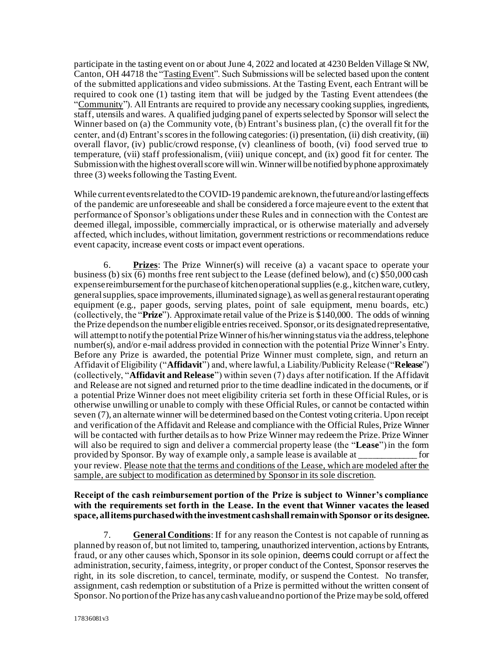participate in the tasting event on or about June 4, 2022 and located at 4230 Belden Village St NW, Canton, OH 44718 the "Tasting Event". Such Submissions will be selected based upon the content of the submitted applications and video submissions. At the Tasting Event, each Entrant will be required to cook one (1) tasting item that will be judged by the Tasting Event attendees (the "Community"). All Entrants are required to provide any necessary cooking supplies, ingredients, staff, utensils and wares. A qualified judging panel of expertsselected by Sponsor will select the Winner based on (a) the Community vote, (b) Entrant's business plan, (c) the overall fit for the center, and (d) Entrant's scores in the following categories: (i) presentation, (ii) dish creativity, (iii) overall flavor, (iv) public/crowd response, (v) cleanliness of booth, (vi) food served true to temperature, (vii) staff professionalism, (viii) unique concept, and (ix) good fit for center. The Submission with the highest overall score will win. Winner will be notified by phone approximately three (3) weeks following the Tasting Event.

While current events related to the COVID-19 pandemic are known, the future and/or lasting effects of the pandemic are unforeseeable and shall be considered a force majeure event to the extent that performance of Sponsor's obligations under these Rules and in connection with the Contest are deemed illegal, impossible, commercially impractical, or is otherwise materially and adversely affected, which includes, without limitation, government restrictions or recommendations reduce event capacity, increase event costs or impact event operations.

6. **Prizes**: The Prize Winner(s) will receive (a) a vacant space to operate your business (b) six (6) months free rent subject to the Lease (defined below), and (c) \$50,000 cash expense reimbursement for the purchase of kitchen operational supplies (e.g., kitchen ware, cutlery, general supplies, space improvements, illuminated signage), as well as general restaurant operating equipment (e.g., paper goods, serving plates, point of sale equipment, menu boards, etc.) (collectively, the "**Prize**"). Approximate retail value of the Prize is \$140,000. The odds of winning the Prize depends on the number eligible entries received. Sponsor, or its designated representative, will attempt to notify the potential Prize Winner of his/her winning status via the address, telephone number(s), and/or e-mail address provided in connection with the potential Prize Winner's Entry. Before any Prize is awarded, the potential Prize Winner must complete, sign, and return an Affidavit of Eligibility ("**Affidavit**") and, where lawful, a Liability/Publicity Release ("**Release**") (collectively, "**Affidavit and Release**") within seven (7) days after notification. If the Affidavit and Release are not signed and returned prior to the time deadline indicated in the documents, or if a potential Prize Winner does not meet eligibility criteria set forth in these Official Rules, or is otherwise unwilling or unable to comply with these Official Rules, or cannot be contacted within seven (7), an alternate winner will be determined based on the Contest voting criteria. Upon receipt and verification of the Affidavit and Release and compliance with the Official Rules, Prize Winner will be contacted with further details as to how Prize Winner may redeem the Prize. Prize Winner will also be required to sign and deliver a commercial property lease (the "**Lease**") in the form provided by Sponsor. By way of example only, a sample lease is available at \_\_\_\_\_\_\_\_\_\_\_\_\_ for your review. Please note that the terms and conditions of the Lease, which are modeled after the sample, are subject to modification as determined by Sponsor in its sole discretion.

## **Receipt of the cash reimbursement portion of the Prize is subject to Winner's compliance with the requirements set forth in the Lease. In the event that Winner vacates the leased space, all items purchased with the investment cash shall remain with Sponsor or its designee.**

7. **General Conditions**: If for any reason the Contest is not capable of running as planned by reason of, but not limited to, tampering, unauthorized intervention, actions by Entrants, fraud, or any other causes which, Sponsor in its sole opinion, deems could corrupt or affect the administration, security, fairness, integrity, or proper conduct of the Contest, Sponsor reserves the right, in its sole discretion, to cancel, terminate, modify, or suspend the Contest. No transfer, assignment, cash redemption or substitution of a Prize is permitted without the written consent of Sponsor. No portion of the Prize has any cash value and no portion of the Prize may be sold, offered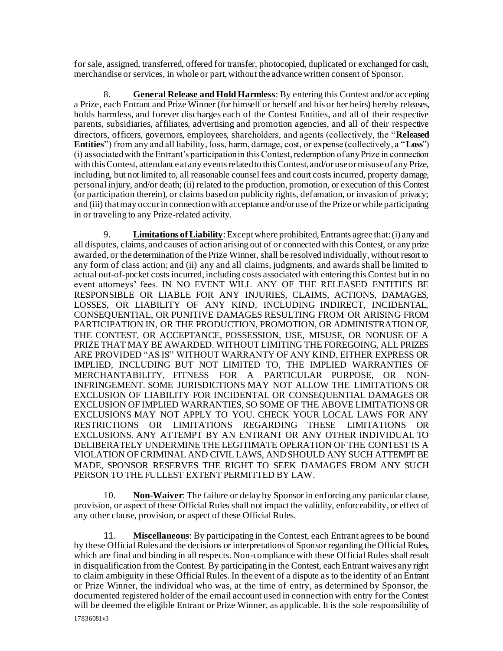for sale, assigned, transferred, offered for transfer, photocopied, duplicated or exchanged for cash, merchandise or services, in whole or part, without the advance written consent of Sponsor.

8. **General Release and Hold Harmless**: By entering this Contest and/or accepting a Prize, each Entrant and Prize Winner (for himself or herself and his or her heirs) hereby releases, holds harmless, and forever discharges each of the Contest Entities, and all of their respective parents, subsidiaries, affiliates, advertising and promotion agencies, and all of their respective directors, officers, governors, employees, shareholders, and agents (collectively, the "**Released Entities**") from any and all liability, loss, harm, damage, cost, or expense (collectively, a "**Loss**") (i) associated with the Entrant's participation in this Contest, redemption of any Prize in connection with this Contest, attendance at any events related to this Contest, and/or use or misuse of any Prize, including, but not limited to, all reasonable counsel fees and court costs incurred, property damage, personal injury, and/or death; (ii) related to the production, promotion, or execution of this Contest (or participation therein), or claims based on publicity rights, defamation, or invasion of privacy; and (iii) that may occur in connection with acceptance and/or use of the Prize or while participating in or traveling to any Prize-related activity.

9. **Limitations of Liability**: Except where prohibited, Entrants agree that: (i) any and all disputes, claims, and causes of action arising out of or connected with this Contest, or any prize awarded, or the determination of the Prize Winner, shall be resolved individually, without resort to any form of class action; and (ii) any and all claims, judgments, and awards shall be limited to actual out-of-pocket costs incurred, including costs associated with entering this Contest but in no event attorneys' fees. IN NO EVENT WILL ANY OF THE RELEASED ENTITIES BE RESPONSIBLE OR LIABLE FOR ANY INJURIES, CLAIMS, ACTIONS, DAMAGES, LOSSES, OR LIABILITY OF ANY KIND, INCLUDING INDIRECT, INCIDENTAL, CONSEQUENTIAL, OR PUNITIVE DAMAGES RESULTING FROM OR ARISING FROM PARTICIPATION IN, OR THE PRODUCTION, PROMOTION, OR ADMINISTRATION OF, THE CONTEST, OR ACCEPTANCE, POSSESSION, USE, MISUSE, OR NONUSE OF A PRIZE THAT MAY BE AWARDED. WITHOUT LIMITING THE FOREGOING, ALL PRIZES ARE PROVIDED "AS IS" WITHOUT WARRANTY OF ANY KIND, EITHER EXPRESS OR IMPLIED, INCLUDING BUT NOT LIMITED TO, THE IMPLIED WARRANTIES OF MERCHANTABILITY, FITNESS FOR A PARTICULAR PURPOSE, OR NON-INFRINGEMENT. SOME JURISDICTIONS MAY NOT ALLOW THE LIMITATIONS OR EXCLUSION OF LIABILITY FOR INCIDENTAL OR CONSEQUENTIAL DAMAGES OR EXCLUSION OF IMPLIED WARRANTIES, SO SOME OF THE ABOVE LIMITATIONS OR EXCLUSIONS MAY NOT APPLY TO YOU. CHECK YOUR LOCAL LAWS FOR ANY RESTRICTIONS OR LIMITATIONS REGARDING THESE LIMITATIONS OR EXCLUSIONS. ANY ATTEMPT BY AN ENTRANT OR ANY OTHER INDIVIDUAL TO DELIBERATELY UNDERMINE THE LEGITIMATE OPERATION OF THE CONTEST IS A VIOLATION OF CRIMINAL AND CIVIL LAWS, AND SHOULD ANY SUCH ATTEMPT BE MADE, SPONSOR RESERVES THE RIGHT TO SEEK DAMAGES FROM ANY SUCH PERSON TO THE FULLEST EXTENT PERMITTED BY LAW.

10. **Non-Waiver**: The failure or delay by Sponsor in enforcing any particular clause, provision, or aspect of these Official Rules shall not impact the validity, enforceability, or effect of any other clause, provision, or aspect of these Official Rules.

11. **Miscellaneous**: By participating in the Contest, each Entrant agrees to be bound by these Official Rules and the decisions or interpretations of Sponsor regarding the Official Rules, which are final and binding in all respects. Non-compliance with these Official Rules shall result in disqualification from the Contest. By participating in the Contest, each Entrant waives any right to claim ambiguity in these Official Rules. In the event of a dispute as to the identity of an Entrant or Prize Winner, the individual who was, at the time of entry, as determined by Sponsor, the documented registered holder of the email account used in connection with entry for the Contest will be deemed the eligible Entrant or Prize Winner, as applicable. It is the sole responsibility of